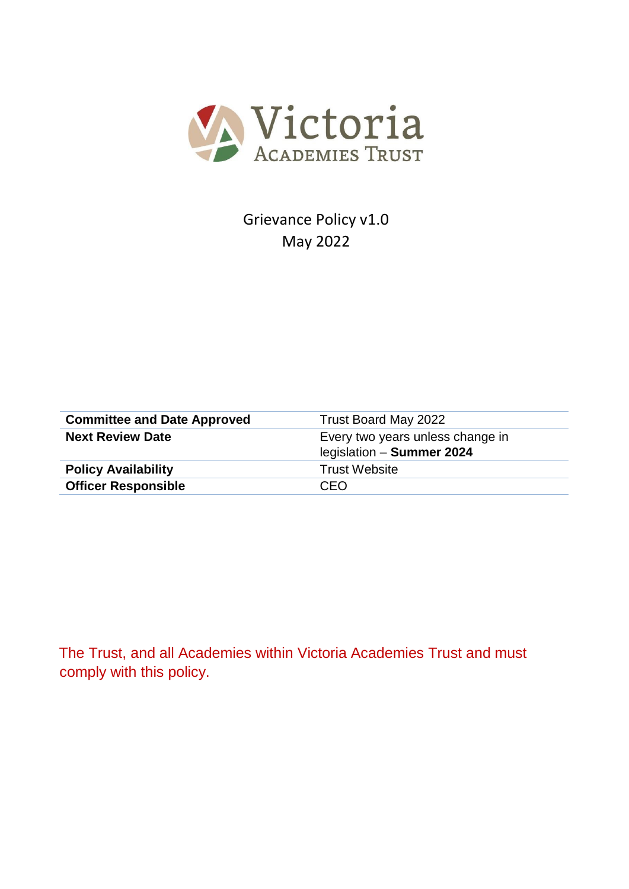

Grievance Policy v1.0 May 2022

| <b>Committee and Date Approved</b> | Trust Board May 2022                                          |
|------------------------------------|---------------------------------------------------------------|
| <b>Next Review Date</b>            | Every two years unless change in<br>legislation - Summer 2024 |
| <b>Policy Availability</b>         | <b>Trust Website</b>                                          |
| <b>Officer Responsible</b>         | CEO                                                           |

The Trust, and all Academies within Victoria Academies Trust and must comply with this policy.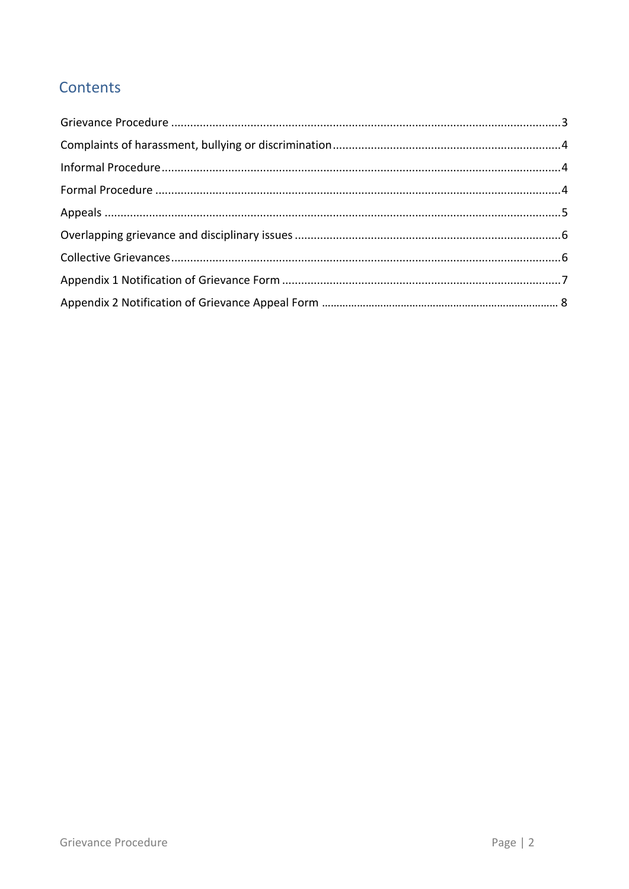# Contents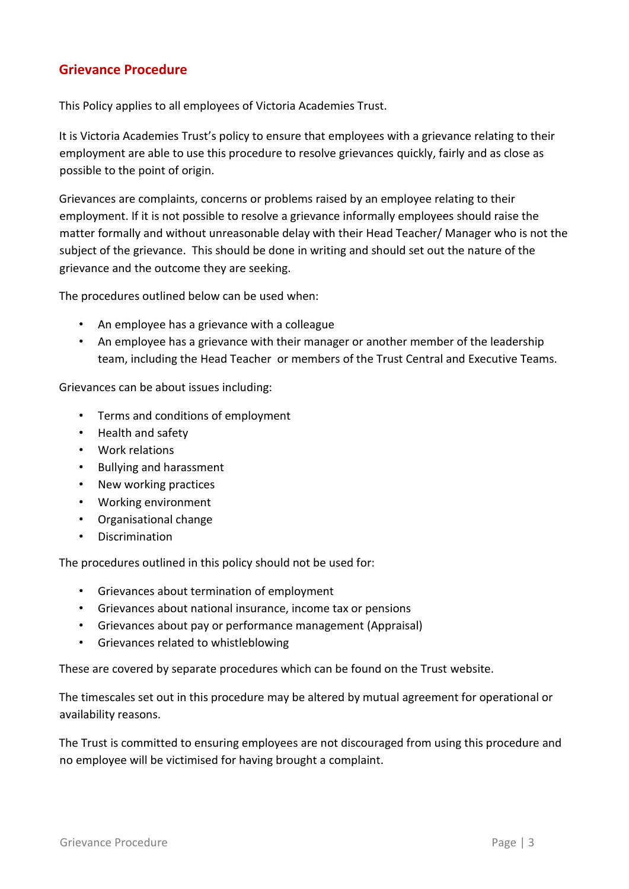## <span id="page-2-0"></span>**Grievance Procedure**

This Policy applies to all employees of Victoria Academies Trust.

It is Victoria Academies Trust's policy to ensure that employees with a grievance relating to their employment are able to use this procedure to resolve grievances quickly, fairly and as close as possible to the point of origin.

Grievances are complaints, concerns or problems raised by an employee relating to their employment. If it is not possible to resolve a grievance informally employees should raise the matter formally and without unreasonable delay with their Head Teacher/ Manager who is not the subject of the grievance. This should be done in writing and should set out the nature of the grievance and the outcome they are seeking.

The procedures outlined below can be used when:

- An employee has a grievance with a colleague
- An employee has a grievance with their manager or another member of the leadership team, including the Head Teacher or members of the Trust Central and Executive Teams.

Grievances can be about issues including:

- Terms and conditions of employment
- Health and safety
- Work relations
- Bullying and harassment
- New working practices
- Working environment
- Organisational change
- Discrimination

The procedures outlined in this policy should not be used for:

- Grievances about termination of employment
- Grievances about national insurance, income tax or pensions
- Grievances about pay or performance management (Appraisal)
- Grievances related to whistleblowing

These are covered by separate procedures which can be found on the Trust website.

The timescales set out in this procedure may be altered by mutual agreement for operational or availability reasons.

The Trust is committed to ensuring employees are not discouraged from using this procedure and no employee will be victimised for having brought a complaint.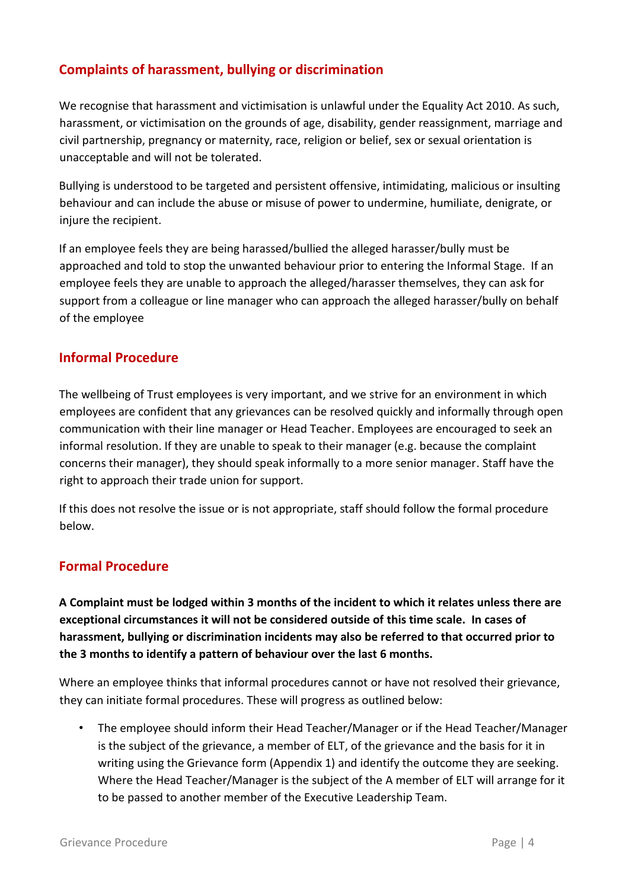## <span id="page-3-0"></span>**Complaints of harassment, bullying or discrimination**

We recognise that harassment and victimisation is unlawful under the Equality Act 2010. As such, harassment, or victimisation on the grounds of age, disability, gender reassignment, marriage and civil partnership, pregnancy or maternity, race, religion or belief, sex or sexual orientation is unacceptable and will not be tolerated.

Bullying is understood to be targeted and persistent offensive, intimidating, malicious or insulting behaviour and can include the abuse or misuse of power to undermine, humiliate, denigrate, or injure the recipient.

If an employee feels they are being harassed/bullied the alleged harasser/bully must be approached and told to stop the unwanted behaviour prior to entering the Informal Stage. If an employee feels they are unable to approach the alleged/harasser themselves, they can ask for support from a colleague or line manager who can approach the alleged harasser/bully on behalf of the employee

#### <span id="page-3-1"></span>**Informal Procedure**

The wellbeing of Trust employees is very important, and we strive for an environment in which employees are confident that any grievances can be resolved quickly and informally through open communication with their line manager or Head Teacher. Employees are encouraged to seek an informal resolution. If they are unable to speak to their manager (e.g. because the complaint concerns their manager), they should speak informally to a more senior manager. Staff have the right to approach their trade union for support.

If this does not resolve the issue or is not appropriate, staff should follow the formal procedure below.

## <span id="page-3-2"></span>**Formal Procedure**

**A Complaint must be lodged within 3 months of the incident to which it relates unless there are exceptional circumstances it will not be considered outside of this time scale. In cases of harassment, bullying or discrimination incidents may also be referred to that occurred prior to the 3 months to identify a pattern of behaviour over the last 6 months.** 

Where an employee thinks that informal procedures cannot or have not resolved their grievance, they can initiate formal procedures. These will progress as outlined below:

• The employee should inform their Head Teacher/Manager or if the Head Teacher/Manager is the subject of the grievance, a member of ELT, of the grievance and the basis for it in writing using the Grievance form (Appendix 1) and identify the outcome they are seeking. Where the Head Teacher/Manager is the subject of the A member of ELT will arrange for it to be passed to another member of the Executive Leadership Team.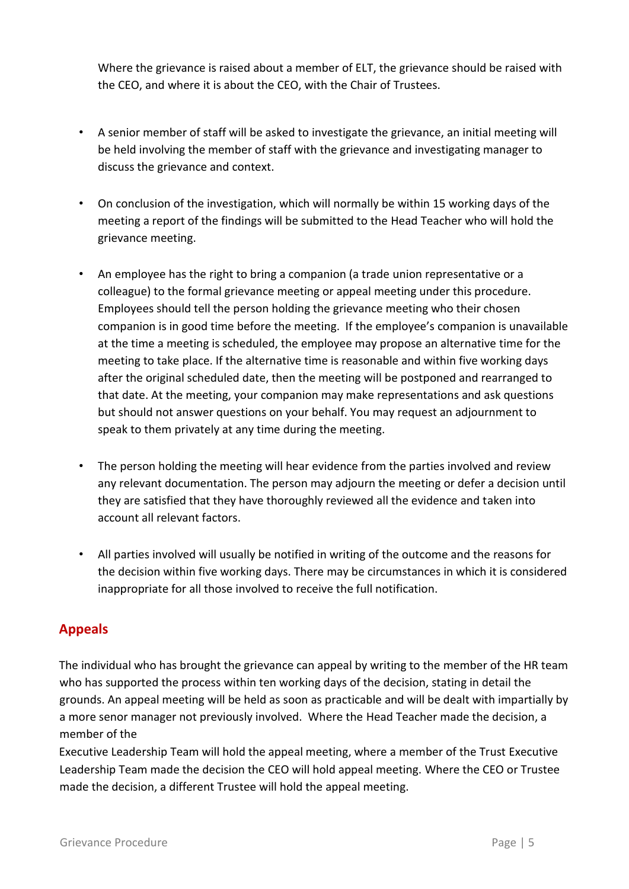Where the grievance is raised about a member of ELT, the grievance should be raised with the CEO, and where it is about the CEO, with the Chair of Trustees.

- A senior member of staff will be asked to investigate the grievance, an initial meeting will be held involving the member of staff with the grievance and investigating manager to discuss the grievance and context.
- On conclusion of the investigation, which will normally be within 15 working days of the meeting a report of the findings will be submitted to the Head Teacher who will hold the grievance meeting.
- An employee has the right to bring a companion (a trade union representative or a colleague) to the formal grievance meeting or appeal meeting under this procedure. Employees should tell the person holding the grievance meeting who their chosen companion is in good time before the meeting. If the employee's companion is unavailable at the time a meeting is scheduled, the employee may propose an alternative time for the meeting to take place. If the alternative time is reasonable and within five working days after the original scheduled date, then the meeting will be postponed and rearranged to that date. At the meeting, your companion may make representations and ask questions but should not answer questions on your behalf. You may request an adjournment to speak to them privately at any time during the meeting.
- The person holding the meeting will hear evidence from the parties involved and review any relevant documentation. The person may adjourn the meeting or defer a decision until they are satisfied that they have thoroughly reviewed all the evidence and taken into account all relevant factors.
- All parties involved will usually be notified in writing of the outcome and the reasons for the decision within five working days. There may be circumstances in which it is considered inappropriate for all those involved to receive the full notification.

## <span id="page-4-0"></span>**Appeals**

The individual who has brought the grievance can appeal by writing to the member of the HR team who has supported the process within ten working days of the decision, stating in detail the grounds. An appeal meeting will be held as soon as practicable and will be dealt with impartially by a more senor manager not previously involved. Where the Head Teacher made the decision, a member of the

Executive Leadership Team will hold the appeal meeting, where a member of the Trust Executive Leadership Team made the decision the CEO will hold appeal meeting. Where the CEO or Trustee made the decision, a different Trustee will hold the appeal meeting.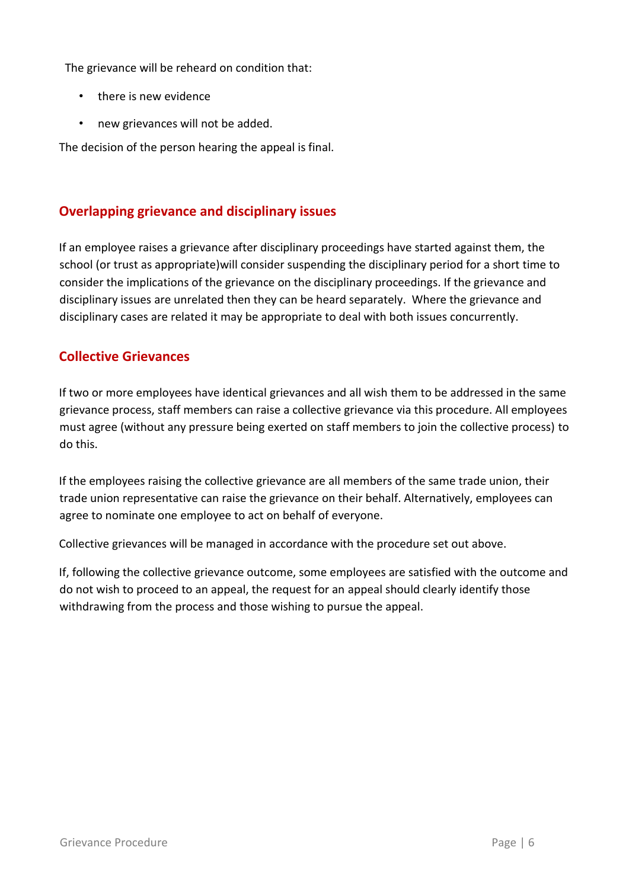The grievance will be reheard on condition that:

- there is new evidence
- new grievances will not be added.

The decision of the person hearing the appeal is final.

## <span id="page-5-0"></span>**Overlapping grievance and disciplinary issues**

If an employee raises a grievance after disciplinary proceedings have started against them, the school (or trust as appropriate)will consider suspending the disciplinary period for a short time to consider the implications of the grievance on the disciplinary proceedings. If the grievance and disciplinary issues are unrelated then they can be heard separately. Where the grievance and disciplinary cases are related it may be appropriate to deal with both issues concurrently.

#### <span id="page-5-1"></span>**Collective Grievances**

If two or more employees have identical grievances and all wish them to be addressed in the same grievance process, staff members can raise a collective grievance via this procedure. All employees must agree (without any pressure being exerted on staff members to join the collective process) to do this.

If the employees raising the collective grievance are all members of the same trade union, their trade union representative can raise the grievance on their behalf. Alternatively, employees can agree to nominate one employee to act on behalf of everyone.

Collective grievances will be managed in accordance with the procedure set out above.

If, following the collective grievance outcome, some employees are satisfied with the outcome and do not wish to proceed to an appeal, the request for an appeal should clearly identify those withdrawing from the process and those wishing to pursue the appeal.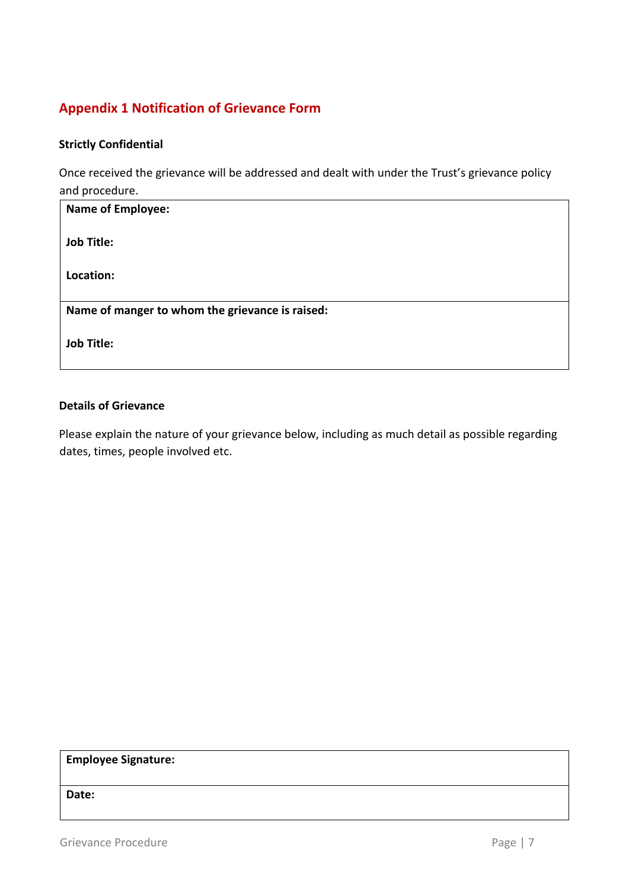# <span id="page-6-0"></span>**Appendix 1 Notification of Grievance Form**

#### **Strictly Confidential**

Once received the grievance will be addressed and dealt with under the Trust's grievance policy and procedure.

| <b>Name of Employee:</b>                        |
|-------------------------------------------------|
| <b>Job Title:</b>                               |
| Location:                                       |
| Name of manger to whom the grievance is raised: |
| <b>Job Title:</b>                               |
|                                                 |

#### **Details of Grievance**

Please explain the nature of your grievance below, including as much detail as possible regarding dates, times, people involved etc.

**Employee Signature:** 

**Date:**